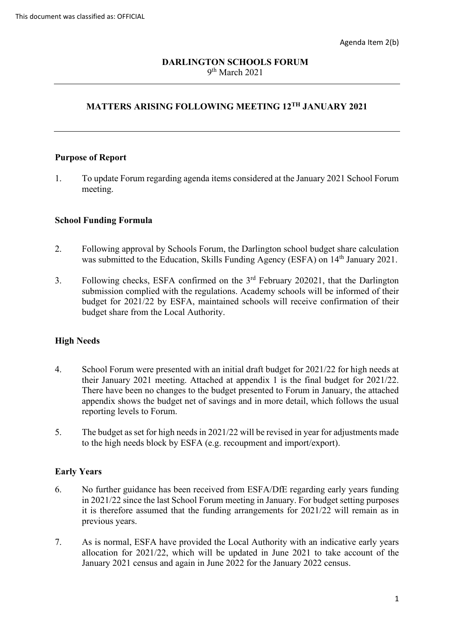# **MATTERS ARISING FOLLOWING MEETING 12TH JANUARY 2021**

### **Purpose of Report**

1. To update Forum regarding agenda items considered at the January 2021 School Forum meeting.

### **School Funding Formula**

- 2. Following approval by Schools Forum, the Darlington school budget share calculation was submitted to the Education, Skills Funding Agency (ESFA) on 14<sup>th</sup> January 2021.
- 3. Following checks, ESFA confirmed on the 3rd February 202021, that the Darlington submission complied with the regulations. Academy schools will be informed of their budget for 2021/22 by ESFA, maintained schools will receive confirmation of their budget share from the Local Authority.

## **High Needs**

- 4. School Forum were presented with an initial draft budget for 2021/22 for high needs at their January 2021 meeting. Attached at appendix 1 is the final budget for 2021/22. There have been no changes to the budget presented to Forum in January, the attached appendix shows the budget net of savings and in more detail, which follows the usual reporting levels to Forum.
- 5. The budget as set for high needs in 2021/22 will be revised in year for adjustments made to the high needs block by ESFA (e.g. recoupment and import/export).

### **Early Years**

- 6. No further guidance has been received from ESFA/DfE regarding early years funding in 2021/22 since the last School Forum meeting in January. For budget setting purposes it is therefore assumed that the funding arrangements for 2021/22 will remain as in previous years.
- 7. As is normal, ESFA have provided the Local Authority with an indicative early years allocation for 2021/22, which will be updated in June 2021 to take account of the January 2021 census and again in June 2022 for the January 2022 census.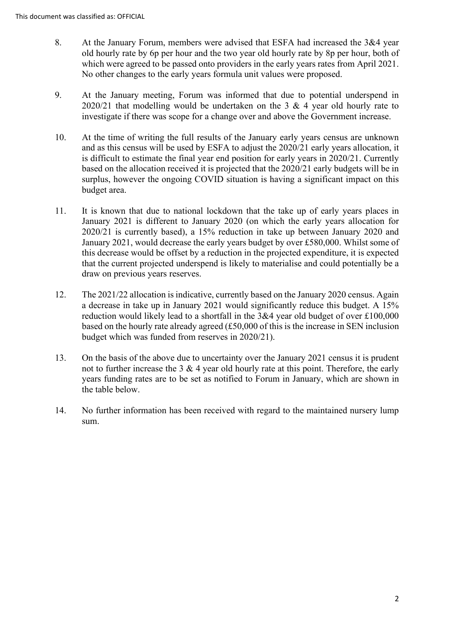- which were agreed to be passed onto providers in the early years rates from April 2021. 8. At the January Forum, members were advised that ESFA had increased the 3&4 year old hourly rate by 6p per hour and the two year old hourly rate by 8p per hour, both of No other changes to the early years formula unit values were proposed.
- 9. At the January meeting, Forum was informed that due to potential underspend in 2020/21 that modelling would be undertaken on the 3  $\&$  4 year old hourly rate to investigate if there was scope for a change over and above the Government increase.
- 10. At the time of writing the full results of the January early years census are unknown and as this census will be used by ESFA to adjust the 2020/21 early years allocation, it is difficult to estimate the final year end position for early years in 2020/21. Currently based on the allocation received it is projected that the 2020/21 early budgets will be in surplus, however the ongoing COVID situation is having a significant impact on this budget area.
- January 2021, would decrease the early years budget by over £580,000. Whilst some of draw on previous years reserves. 11. It is known that due to national lockdown that the take up of early years places in January 2021 is different to January 2020 (on which the early years allocation for 2020/21 is currently based), a 15% reduction in take up between January 2020 and this decrease would be offset by a reduction in the projected expenditure, it is expected that the current projected underspend is likely to materialise and could potentially be a
- based on the hourly rate already agreed (£50,000 of this is the increase in SEN inclusion 12. The 2021/22 allocation is indicative, currently based on the January 2020 census. Again a decrease in take up in January 2021 would significantly reduce this budget. A 15% reduction would likely lead to a shortfall in the 3&4 year old budget of over £100,000 budget which was funded from reserves in 2020/21).
- 13. On the basis of the above due to uncertainty over the January 2021 census it is prudent not to further increase the 3  $&$  4 year old hourly rate at this point. Therefore, the early years funding rates are to be set as notified to Forum in January, which are shown in the table below.
- 14. No further information has been received with regard to the maintained nursery lump sum.